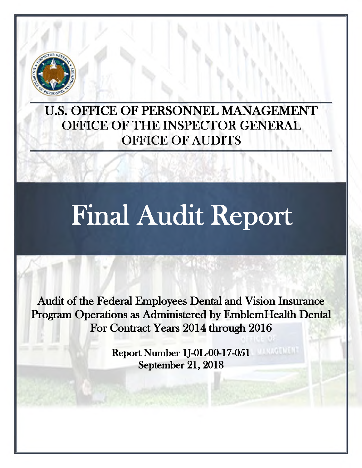

## **U.S. OFFICE OF PERSONNEL MANAGEMENT OFFICE OF THE INSPECTOR GENERAL OFFICE OF AUDITS**

# Final Audit Report

**Audit ofthe Federal Employees Dental and Vision Insurance Program Operations as Administered by EmblemHealth Dental For Contract Years 2014 through 2016**

> **Report Number 1J-0L-00-17-051 September 21, 2018**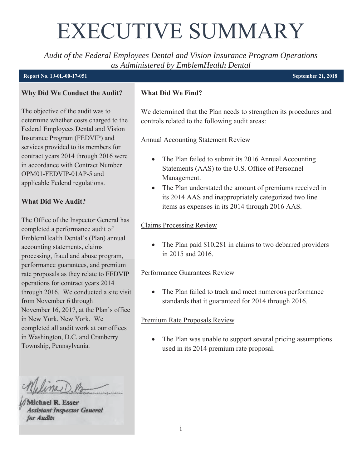# <span id="page-1-0"></span>EXECUTIVE SUMMARY

*Audit of the Federal Employees Dental and Vision Insurance Program Operations as Administered by EmblemHealth Dental* 

#### **Report No. 1J-0L-00-17-051 September 21, 2018**

#### **Why Did We Conduct the Audit?**

The objective of the audit was to determine whether costs charged to the Federal Employees Dental and Vision Insurance Program (FEDVIP) and services provided to its members for contract years 2014 through 2016 were in accordance with Contract Number OPM01-FEDVIP-01AP-5 and applicable Federal regulations.

#### **What Did We Audit?**

The Office of the Inspector General has completed a performance audit of EmblemHealth Dental's (Plan) annual accounting statements, claims processing, fraud and abuse program, performance guarantees, and premium rate proposals as they relate to FEDVIP operations for contract years 2014 through 2016. We conducted a site visit from November 6 through November 16, 2017, at the Plan's office in New York, New York. We completed all audit work at our offices in Washington, D.C. and Cranberry Township, Pennsylvania.

Michael R. Esser **Assistant Inspector General** for Audits

#### **What Did We Find?**

We determined that the Plan needs to strengthen its procedures and controls related to the following audit areas:

#### Annual Accounting Statement Review

- $\bullet$  The Plan failed to submit its 2016 Annual Accounting Statements (AAS) to the U.S. Office of Personnel Management.
- The Plan understated the amount of premiums received in its 2014 AAS and inappropriately categorized two line items as expenses in its 2014 through 2016 AAS.

#### Claims Processing Review

 $\bullet$  The Plan paid \$10,281 in claims to two debarred providers in 2015 and 2016.

#### Performance Guarantees Review

• The Plan failed to track and meet numerous performance standards that it guaranteed for 2014 through 2016.

#### Premium Rate Proposals Review

• The Plan was unable to support several pricing assumptions used in its 2014 premium rate proposal.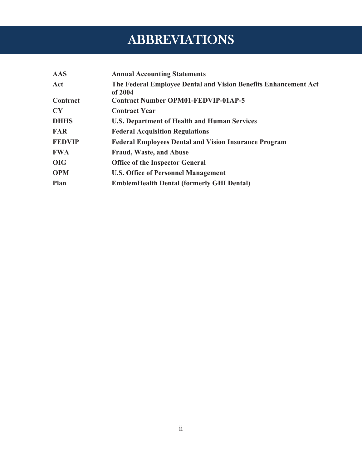## ABBREVIATIONS

<span id="page-2-0"></span>

| <b>AAS</b>    | <b>Annual Accounting Statements</b>                                        |  |
|---------------|----------------------------------------------------------------------------|--|
| Act           | The Federal Employee Dental and Vision Benefits Enhancement Act<br>of 2004 |  |
| Contract      | <b>Contract Number OPM01-FEDVIP-01AP-5</b>                                 |  |
| CY            | <b>Contract Year</b>                                                       |  |
| <b>DHHS</b>   | <b>U.S. Department of Health and Human Services</b>                        |  |
| <b>FAR</b>    | <b>Federal Acquisition Regulations</b>                                     |  |
| <b>FEDVIP</b> | <b>Federal Employees Dental and Vision Insurance Program</b>               |  |
| <b>FWA</b>    | <b>Fraud, Waste, and Abuse</b>                                             |  |
| <b>OIG</b>    | <b>Office of the Inspector General</b>                                     |  |
| <b>OPM</b>    | <b>U.S. Office of Personnel Management</b>                                 |  |
| Plan          | <b>EmblemHealth Dental (formerly GHI Dental)</b>                           |  |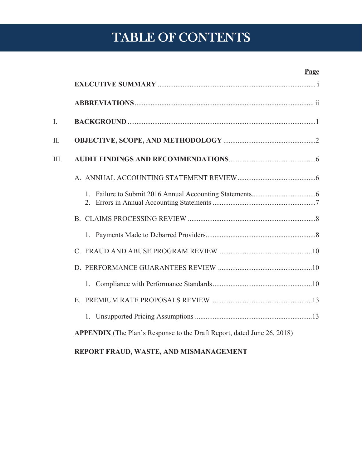## TABLE OF CONTENTS

#### **Page**

| I.   |                                                                                |  |  |  |
|------|--------------------------------------------------------------------------------|--|--|--|
| Η.   |                                                                                |  |  |  |
| III. |                                                                                |  |  |  |
|      |                                                                                |  |  |  |
|      |                                                                                |  |  |  |
|      |                                                                                |  |  |  |
|      |                                                                                |  |  |  |
|      |                                                                                |  |  |  |
|      |                                                                                |  |  |  |
|      |                                                                                |  |  |  |
|      |                                                                                |  |  |  |
|      |                                                                                |  |  |  |
|      | <b>APPENDIX</b> (The Plan's Response to the Draft Report, dated June 26, 2018) |  |  |  |

### **[REPORT FRAUD, WASTE, AND MISMANAGEMENT](#page-23-0)**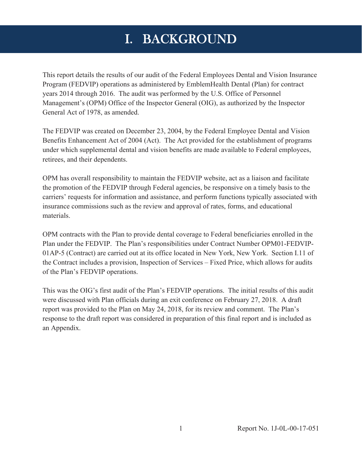### I. BACKGROUND

<span id="page-4-0"></span>This report details the results of our audit of the Federal Employees Dental and Vision Insurance Program (FEDVIP) operations as administered by EmblemHealth Dental (Plan) for contract years 2014 through 2016. The audit was performed by the U.S. Office of Personnel Management's (OPM) Office of the Inspector General (OIG), as authorized by the Inspector General Act of 1978, as amended.

The FEDVIP was created on December 23, 2004, by the Federal Employee Dental and Vision Benefits Enhancement Act of 2004 (Act). The Act provided for the establishment of programs under which supplemental dental and vision benefits are made available to Federal employees, retirees, and their dependents.

OPM has overall responsibility to maintain the FEDVIP website, act as a liaison and facilitate the promotion of the FEDVIP through Federal agencies, be responsive on a timely basis to the carriers' requests for information and assistance, and perform functions typically associated with insurance commissions such as the review and approval of rates, forms, and educational materials.

OPM contracts with the Plan to provide dental coverage to Federal beneficiaries enrolled in the Plan under the FEDVIP. The Plan's responsibilities under Contract Number OPM01-FEDVIP-01AP-5 (Contract) are carried out at its office located in New York, New York. Section I.11 of the Contract includes a provision, Inspection of Services – Fixed Price, which allows for audits of the Plan's FEDVIP operations.

This was the OIG's first audit of the Plan's FEDVIP operations. The initial results of this audit were discussed with Plan officials during an exit conference on February 27, 2018. A draft report was provided to the Plan on May 24, 2018, for its review and comment. The Plan's response to the draft report was considered in preparation of this final report and is included as an Appendix.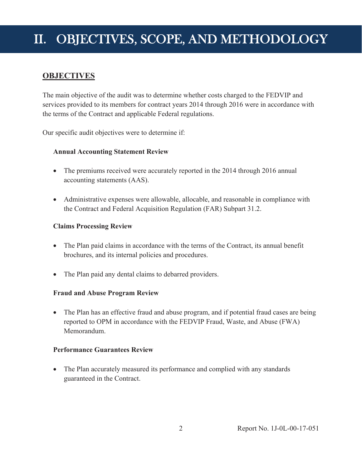## <span id="page-5-0"></span>II. OBJECTIVES, SCOPE, AND METHODOLOGY

### **OBJECTIVES**

The main objective of the audit was to determine whether costs charged to the FEDVIP and services provided to its members for contract years 2014 through 2016 were in accordance with the terms of the Contract and applicable Federal regulations.

Our specific audit objectives were to determine if:

#### **Annual Accounting Statement Review**

- $\bullet$  The premiums received were accurately reported in the 2014 through 2016 annual accounting statements (AAS).
- Administrative expenses were allowable, allocable, and reasonable in compliance with the Contract and Federal Acquisition Regulation (FAR) Subpart 31.2.

#### **Claims Processing Review**

- $\bullet$  The Plan paid claims in accordance with the terms of the Contract, its annual benefit brochures, and its internal policies and procedures.
- The Plan paid any dental claims to debarred providers.

#### **Fraud and Abuse Program Review**

 $\bullet$  The Plan has an effective fraud and abuse program, and if potential fraud cases are being reported to OPM in accordance with the FEDVIP Fraud, Waste, and Abuse (FWA) **Memorandum** 

#### **Performance Guarantees Review**

• The Plan accurately measured its performance and complied with any standards guaranteed in the Contract.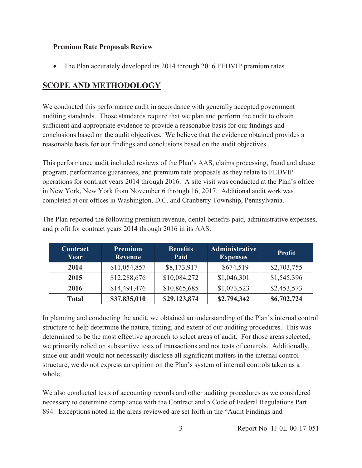#### **Premium Rate Proposals Review**

• The Plan accurately developed its 2014 through 2016 FEDVIP premium rates.

### **SCOPE AND METHODOLOGY**

We conducted this performance audit in accordance with generally accepted government auditing standards. Those standards require that we plan and perform the audit to obtain sufficient and appropriate evidence to provide a reasonable basis for our findings and conclusions based on the audit objectives. We believe that the evidence obtained provides a reasonable basis for our findings and conclusions based on the audit objectives.

This performance audit included reviews of the Plan's AAS, claims processing, fraud and abuse program, performance guarantees, and premium rate proposals as they relate to FEDVIP operations for contract years 2014 through 2016. A site visit was conducted at the Plan's office in New York, New York from November 6 through 16, 2017. Additional audit work was completed at our offices in Washington, D.C. and Cranberry Township, Pennsylvania.

| <b>Contract</b><br>Year | Premium<br><b>Revenue</b> | <b>Benefits</b><br>Paid | <b>Administrative</b><br><b>Expenses</b> | <b>Profit</b> |
|-------------------------|---------------------------|-------------------------|------------------------------------------|---------------|
| 2014                    | \$11,054,857              | \$8,173,917             | \$674,519                                | \$2,703,755   |
| 2015                    | \$12,288,676              | \$10,084,272            | \$1,046,301                              | \$1,545,396   |
| 2016                    | \$14,491,476              | \$10,865,685            | \$1,073,523                              | \$2,453,573   |
| <b>Total</b>            | \$37,835,010              | \$29,123,874            | \$2,794,342                              | \$6,702,724   |

The Plan reported the following premium revenue, dental benefits paid, administrative expenses, and profit for contract years 2014 through 2016 in its AAS:

In planning and conducting the audit, we obtained an understanding of the Plan's internal control structure to help determine the nature, timing, and extent of our auditing procedures. This was determined to be the most effective approach to select areas of audit. For those areas selected, we primarily relied on substantive tests of transactions and not tests of controls. Additionally, since our audit would not necessarily disclose all significant matters in the internal control structure, we do not express an opinion on the Plan's system of internal controls taken as a whole.

We also conducted tests of accounting records and other auditing procedures as we considered necessary to determine compliance with the Contract and 5 Code of Federal Regulations Part 894. Exceptions noted in the areas reviewed are set forth in the "Audit Findings and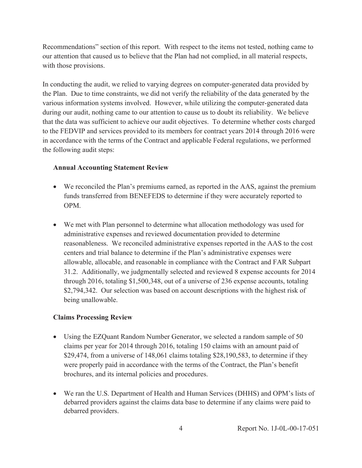Recommendations" section of this report. With respect to the items not tested, nothing came to our attention that caused us to believe that the Plan had not complied, in all material respects, with those provisions.

In conducting the audit, we relied to varying degrees on computer-generated data provided by the Plan. Due to time constraints, we did not verify the reliability of the data generated by the various information systems involved. However, while utilizing the computer-generated data during our audit, nothing came to our attention to cause us to doubt its reliability. We believe that the data was sufficient to achieve our audit objectives. To determine whether costs charged to the FEDVIP and services provided to its members for contract years 2014 through 2016 were in accordance with the terms of the Contract and applicable Federal regulations, we performed the following audit steps:

#### **Annual Accounting Statement Review**

- We reconciled the Plan's premiums earned, as reported in the AAS, against the premium funds transferred from BENEFEDS to determine if they were accurately reported to OPM.
- We met with Plan personnel to determine what allocation methodology was used for administrative expenses and reviewed documentation provided to determine reasonableness. We reconciled administrative expenses reported in the AAS to the cost centers and trial balance to determine if the Plan's administrative expenses were allowable, allocable, and reasonable in compliance with the Contract and FAR Subpart 31.2. Additionally, we judgmentally selected and reviewed 8 expense accounts for 2014 through 2016, totaling \$1,500,348, out of a universe of 236 expense accounts, totaling \$2,794,342. Our selection was based on account descriptions with the highest risk of being unallowable.

#### **Claims Processing Review**

- Using the EZQuant Random Number Generator, we selected a random sample of 50 claims per year for 2014 through 2016, totaling 150 claims with an amount paid of \$29,474, from a universe of 148,061 claims totaling \$28,190,583, to determine if they were properly paid in accordance with the terms of the Contract, the Plan's benefit brochures, and its internal policies and procedures.
- We ran the U.S. Department of Health and Human Services (DHHS) and OPM's lists of debarred providers against the claims data base to determine if any claims were paid to debarred providers.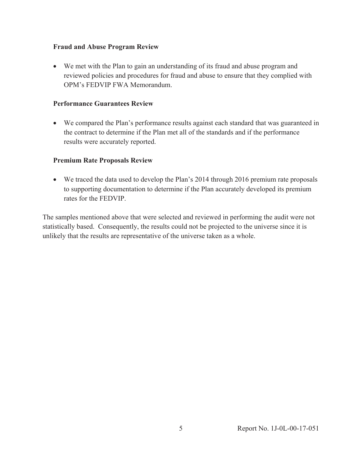#### **Fraud and Abuse Program Review**

• We met with the Plan to gain an understanding of its fraud and abuse program and reviewed policies and procedures for fraud and abuse to ensure that they complied with OPM's FEDVIP FWA Memorandum.

#### **Performance Guarantees Review**

• We compared the Plan's performance results against each standard that was guaranteed in the contract to determine if the Plan met all of the standards and if the performance results were accurately reported.

#### **Premium Rate Proposals Review**

 $\bullet$  We traced the data used to develop the Plan's 2014 through 2016 premium rate proposals to supporting documentation to determine if the Plan accurately developed its premium rates for the FEDVIP.

The samples mentioned above that were selected and reviewed in performing the audit were not statistically based. Consequently, the results could not be projected to the universe since it is unlikely that the results are representative of the universe taken as a whole.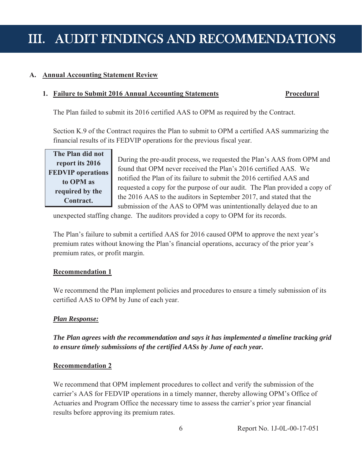### <span id="page-9-0"></span>III. AUDIT FINDINGS AND RECOMMENDATIONS

#### **A. Annual Accounting Statement Review**

#### **1. Failure to Submit 2016 Annual Accounting Statements Procedural Procedural Procedural 1. Procedural Procedural 1.**

The Plan failed to submit its 2016 certified AAS to OPM as required by the Contract.

Section K.9 of the Contract requires the Plan to submit to OPM a certified AAS summarizing the financial results of its FEDVIP operations for the previous fiscal year.

**The Plan did not** 

FEDVIP operations<br>to OPM as<br>to OPM as required by the requested a copy for the purpose of our audit. The Plan provided a copy of the 2016 AAS to the auditors in September 2017, and stated that the submission of the AAS to OPM was unintentionally delayed due to an

unexpected staffing change. The auditors provided a copy to OPM for its records.

The Plan's failure to submit a certified AAS for 2016 caused OPM to approve the next year's premium rates without knowing the Plan's financial operations, accuracy of the prior year's premium rates, or profit margin.

#### **Recommendation 1**

We recommend the Plan implement policies and procedures to ensure a timely submission of its certified AAS to OPM by June of each year.

#### *Plan Response:*

*The Plan agrees with the recommendation and says it has implemented a timeline tracking grid to ensure timely submissions of the certified AASs by June of each year.* 

#### **Recommendation 2**

We recommend that OPM implement procedures to collect and verify the submission of the carrier's AAS for FEDVIP operations in a timely manner, thereby allowing OPM's Office of Actuaries and Program Office the necessary time to assess the carrier's prior year financial results before approving its premium rates.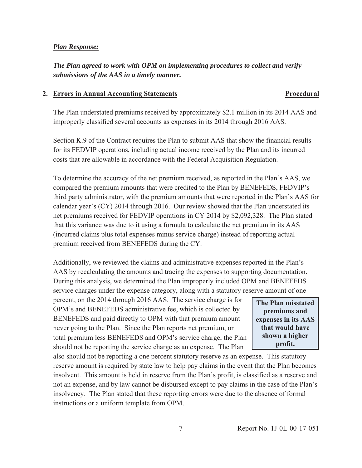#### <span id="page-10-0"></span>*Plan Response:*

*The Plan agreed to work with OPM on implementing procedures to collect and verify submissions of the AAS in a timely manner.* 

#### **2. Errors in Annual Accounting Statements Procedural**

The Plan understated premiums received by approximately \$2.1 million in its 2014 AAS and improperly classified several accounts as expenses in its 2014 through 2016 AAS.

Section K.9 of the Contract requires the Plan to submit AAS that show the financial results for its FEDVIP operations, including actual income received by the Plan and its incurred costs that are allowable in accordance with the Federal Acquisition Regulation.

To determine the accuracy of the net premium received, as reported in the Plan's AAS, we compared the premium amounts that were credited to the Plan by BENEFEDS, FEDVIP's third party administrator, with the premium amounts that were reported in the Plan's AAS for calendar year's (CY) 2014 through 2016. Our review showed that the Plan understated its net premiums received for FEDVIP operations in CY 2014 by \$2,092,328. The Plan stated that this variance was due to it using a formula to calculate the net premium in its AAS (incurred claims plus total expenses minus service charge) instead of reporting actual premium received from BENEFEDS during the CY.

Additionally, we reviewed the claims and administrative expenses reported in the Plan's AAS by recalculating the amounts and tracing the expenses to supporting documentation. During this analysis, we determined the Plan improperly included OPM and BENEFEDS service charges under the expense category, along with a statutory reserve amount of one

percent, on the 2014 through 2016 AAS. The service charge is for **The Plan misstated** OPM's and BENEFEDS administrative fee, which is collected by **premiums and** BENEFEDS and paid directly to OPM with that premium amount **expenses in its AAS**  never going to the Plan. Since the Plan reports net premium, or total premium less BENEFEDS and OPM's service charge, the Plan **shown a high shown a high should** not be reporting the service charge as an expense. The Plan **profit.** 

**that would have shown a higher**

also should not be reporting a one percent statutory reserve as an expense. This statutory reserve amount is required by state law to help pay claims in the event that the Plan becomes insolvent. This amount is held in reserve from the Plan's profit, is classified as a reserve and not an expense, and by law cannot be disbursed except to pay claims in the case of the Plan's insolvency. The Plan stated that these reporting errors were due to the absence of formal instructions or a uniform template from OPM.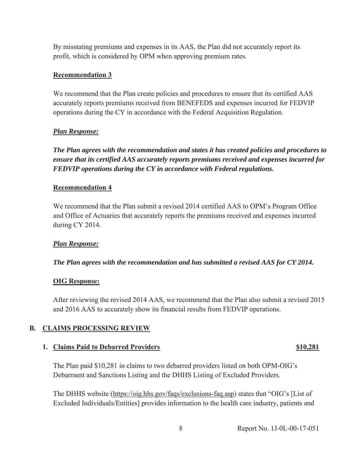<span id="page-11-0"></span>By misstating premiums and expenses in its AAS, the Plan did not accurately report its profit, which is considered by OPM when approving premium rates.

#### **Recommendation 3**

We recommend that the Plan create policies and procedures to ensure that its certified AAS accurately reports premiums received from BENEFEDS and expenses incurred for FEDVIP operations during the CY in accordance with the Federal Acquisition Regulation.

#### *Plan Response:*

*The Plan agrees with the recommendation and states it has created policies and procedures to ensure that its certified AAS accurately reports premiums received and expenses incurred for FEDVIP operations during the CY in accordance with Federal regulations.* 

#### **Recommendation 4**

We recommend that the Plan submit a revised 2014 certified AAS to OPM's Program Office and Office of Actuaries that accurately reports the premiums received and expenses incurred during CY 2014.

#### *Plan Response:*

*The Plan agrees with the recommendation and has submitted a revised AAS for CY 2014.* 

#### **OIG Response:**

After reviewing the revised 2014 AAS, we recommend that the Plan also submit a revised 2015 and 2016 AAS to accurately show its financial results from FEDVIP operations.

#### **B. CLAIMS PROCESSING REVIEW**

#### **1. Claims Paid to Debarred Providers 1. Claims Paid to Debarred Providers**

The Plan paid \$10,281 in claims to two debarred providers listed on both OPM-OIG's Debarment and Sanctions Listing and the DHHS Listing of Excluded Providers.

The DHHS website [\(https://oig.hhs.gov/faqs/exclusions-faq.asp\)](https://www.oig.hhs.gov/faqs/exclusions-faq/asp) states that "OIG's [List of Excluded Individuals/Entities] provides information to the health care industry, patients and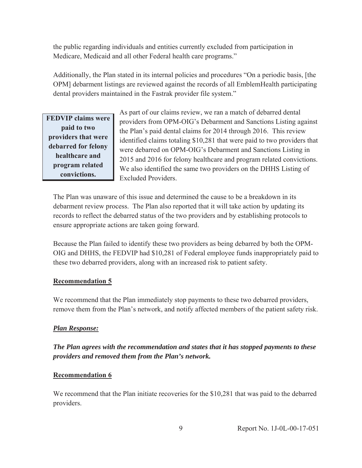Medicare, Medicaid and all other Federal health care programs." the public regarding individuals and entities currently excluded from participation in

Additionally, the Plan stated in its internal policies and procedures "On a periodic basis, [the OPM] debarment listings are reviewed against the records of all EmblemHealth participating dental providers maintained in the Fastrak provider file system."

**FEDVIP claims were As part of our claims review, we ran a match of debarred dental providers from OPM-OIG's Debarment and Sanctions Listing against <b>paid to two** providers that were<br>debarred for felony<br>healthcare and<br>program related<br> $\begin{bmatrix} 10 & 10 & 100 \\ 10 & 10 & 100 \\ 10 & 10 & 100 \\ 10 & 10 & 100 \\ 10 & 10 & 100 \\ 10 & 10 & 100 \\ 10 & 10 & 100 \\ 10 & 10 & 100 \\ 10 & 10 & 100 \\ 10 & 10 & 100 \\ 10 & 10 & 100 \\$ **program related** We also identified the same two providers on the DHHS Listing of convictions. **Excluded Providers.** 

The Plan was unaware of this issue and determined the cause to be a breakdown in its debarment review process. The Plan also reported that it will take action by updating its records to reflect the debarred status of the two providers and by establishing protocols to ensure appropriate actions are taken going forward.

Because the Plan failed to identify these two providers as being debarred by both the OPM-OIG and DHHS, the FEDVIP had \$10,281 of Federal employee funds inappropriately paid to these two debarred providers, along with an increased risk to patient safety.

#### **Recommendation 5**

We recommend that the Plan immediately stop payments to these two debarred providers, remove them from the Plan's network, and notify affected members of the patient safety risk.

#### *Plan Response:*

*The Plan agrees with the recommendation and states that it has stopped payments to these providers and removed them from the Plan's network.* 

#### **Recommendation 6**

We recommend that the Plan initiate recoveries for the \$10,281 that was paid to the debarred providers.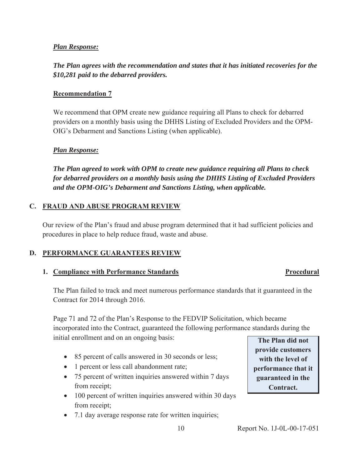#### <span id="page-13-0"></span>*Plan Response:*

#### *The Plan agrees with the recommendation and states that it has initiated recoveries for the \$10,281 paid to the debarred providers.*

#### **Recommendation 7**

We recommend that OPM create new guidance requiring all Plans to check for debarred providers on a monthly basis using the DHHS Listing of Excluded Providers and the OPM-OIG's Debarment and Sanctions Listing (when applicable).

#### *Plan Response:*

*The Plan agreed to work with OPM to create new guidance requiring all Plans to check for debarred providers on a monthly basis using the DHHS Listing of Excluded Providers and the OPM-OIG's Debarment and Sanctions Listing, when applicable.* 

#### **C. FRAUD AND ABUSE PROGRAM REVIEW**

Our review of the Plan's fraud and abuse program determined that it had sufficient policies and procedures in place to help reduce fraud, waste and abuse.

#### **D. PERFORMANCE GUARANTEES REVIEW**

#### **1. Compliance with Performance Standards**  Procedural **Procedural**

#### The Plan failed to track and meet numerous performance standards that it guaranteed in the Contract for 2014 through 2016.

Page 71 and 72 of the Plan's Response to the FEDVIP Solicitation, which became incorporated into the Contract, guaranteed the following performance standards during the initial enrollment and on an ongoing basis: **The Plan did not** 

- 85 percent of calls answered in 30 seconds or less; with the level of
- 1 percent or less call abandonment rate; **performance that it**
- 75 percent of written inquiries answered within 7 days **guaranteed in the** from receipt; **Contract. Contract.**
- 100 percent of written inquiries answered within 30 days from receipt;
- 7.1 day average response rate for written inquiries;

**provide customers**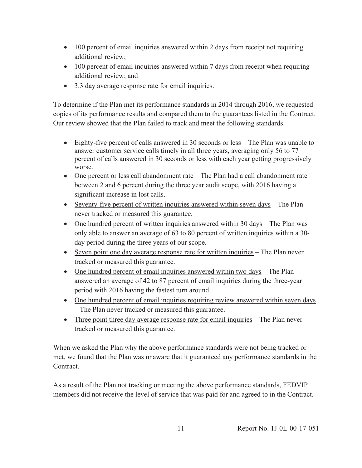- 100 percent of email inquiries answered within 2 days from receipt not requiring additional review;
- $\bullet$  100 percent of email inquiries answered within 7 days from receipt when requiring additional review; and
- 3.3 day average response rate for email inquiries.

To determine if the Plan met its performance standards in 2014 through 2016, we requested copies of its performance results and compared them to the guarantees listed in the Contract. Our review showed that the Plan failed to track and meet the following standards.

- $\bullet$  Eighty-five percent of calls answered in 30 seconds or less The Plan was unable to answer customer service calls timely in all three years, averaging only 56 to 77 percent of calls answered in 30 seconds or less with each year getting progressively worse.
- $\bullet$  One percent or less call abandonment rate The Plan had a call abandonment rate between 2 and 6 percent during the three year audit scope, with 2016 having a significant increase in lost calls.
- $\bullet$  Seventy-five percent of written inquiries answered within seven days The Plan never tracked or measured this guarantee.
- One hundred percent of written inquiries answered within  $30 \text{ days}$  The Plan was only able to answer an average of 63 to 80 percent of written inquiries within a 30 day period during the three years of our scope.
- $\bullet$  Seven point one day average response rate for written inquiries The Plan never tracked or measured this guarantee.
- One hundred percent of email inquiries answered within two days The Plan answered an average of 42 to 87 percent of email inquiries during the three-year period with 2016 having the fastest turn around.
- $\bullet$  One hundred percent of email inquiries requiring review answered within seven days – The Plan never tracked or measured this guarantee.
- Three point three day average response rate for email inquiries The Plan never tracked or measured this guarantee.

When we asked the Plan why the above performance standards were not being tracked or met, we found that the Plan was unaware that it guaranteed any performance standards in the **Contract** 

As a result of the Plan not tracking or meeting the above performance standards, FEDVIP members did not receive the level of service that was paid for and agreed to in the Contract.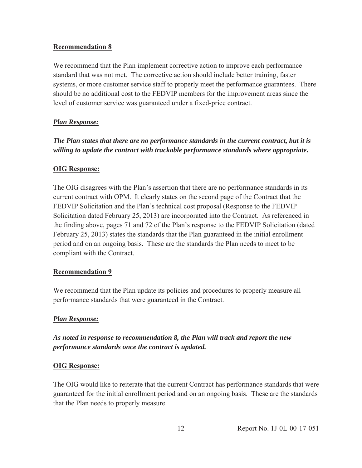#### **Recommendation 8**

We recommend that the Plan implement corrective action to improve each performance standard that was not met. The corrective action should include better training, faster systems, or more customer service staff to properly meet the performance guarantees. There should be no additional cost to the FEDVIP members for the improvement areas since the level of customer service was guaranteed under a fixed-price contract.

#### *Plan Response:*

*The Plan states that there are no performance standards in the current contract, but it is willing to update the contract with trackable performance standards where appropriate.* 

#### **OIG Response:**

The OIG disagrees with the Plan's assertion that there are no performance standards in its current contract with OPM. It clearly states on the second page of the Contract that the FEDVIP Solicitation and the Plan's technical cost proposal (Response to the FEDVIP Solicitation dated February 25, 2013) are incorporated into the Contract. As referenced in the finding above, pages 71 and 72 of the Plan's response to the FEDVIP Solicitation (dated February 25, 2013) states the standards that the Plan guaranteed in the initial enrollment period and on an ongoing basis. These are the standards the Plan needs to meet to be compliant with the Contract.

#### **Recommendation 9**

We recommend that the Plan update its policies and procedures to properly measure all performance standards that were guaranteed in the Contract.

#### *Plan Response:*

*As noted in response to recommendation 8, the Plan will track and report the new performance standards once the contract is updated.* 

#### **OIG Response:**

The OIG would like to reiterate that the current Contract has performance standards that were guaranteed for the initial enrollment period and on an ongoing basis. These are the standards that the Plan needs to properly measure.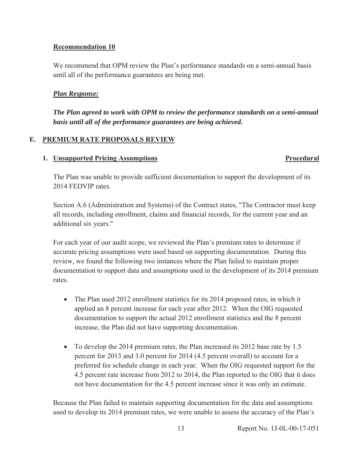#### <span id="page-16-0"></span>**Recommendation 10**

We recommend that OPM review the Plan's performance standards on a semi-annual basis until all of the performance guarantees are being met.

#### *Plan Response:*

*The Plan agreed to work with OPM to review the performance standards on a semi-annual basis until all of the performance guarantees are being achieved.* 

#### **E. PREMIUM RATE PROPOSALS REVIEW**

#### **1.** <u>Unsupported Pricing Assumptions</u> **Procedural Procedural**

The Plan was unable to provide sufficient documentation to support the development of its 2014 FEDVIP rates.

Section A.6 (Administration and Systems) of the Contract states, "The Contractor must keep all records, including enrollment, claims and financial records, for the current year and an additional six years."

For each year of our audit scope, we reviewed the Plan's premium rates to determine if accurate pricing assumptions were used based on supporting documentation. During this review, we found the following two instances where the Plan failed to maintain proper documentation to support data and assumptions used in the development of its 2014 premium rates.

- The Plan used 2012 enrollment statistics for its 2014 proposed rates, in which it applied an 8 percent increase for each year after 2012. When the OIG requested documentation to support the actual 2012 enrollment statistics and the 8 percent increase, the Plan did not have supporting documentation.
- To develop the 2014 premium rates, the Plan increased its 2012 base rate by 1.5 percent for 2013 and 3.0 percent for 2014 (4.5 percent overall) to account for a preferred fee schedule change in each year. When the OIG requested support for the 4.5 percent rate increase from 2012 to 2014, the Plan reported to the OIG that it does not have documentation for the 4.5 percent increase since it was only an estimate.

Because the Plan failed to maintain supporting documentation for the data and assumptions used to develop its 2014 premium rates, we were unable to assess the accuracy of the Plan's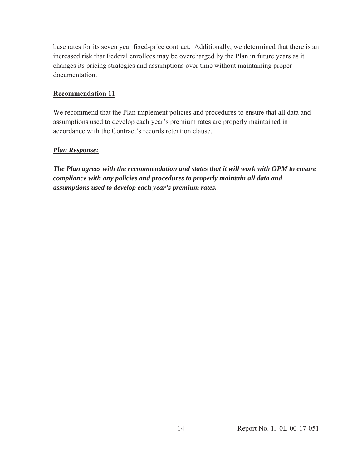base rates for its seven year fixed-price contract. Additionally, we determined that there is an increased risk that Federal enrollees may be overcharged by the Plan in future years as it changes its pricing strategies and assumptions over time without maintaining proper documentation.

#### **Recommendation 11**

We recommend that the Plan implement policies and procedures to ensure that all data and assumptions used to develop each year's premium rates are properly maintained in accordance with the Contract's records retention clause.

#### *Plan Response:*

*The Plan agrees with the recommendation and states that it will work with OPM to ensure compliance with any policies and procedures to properly maintain all data and assumptions used to develop each year's premium rates.*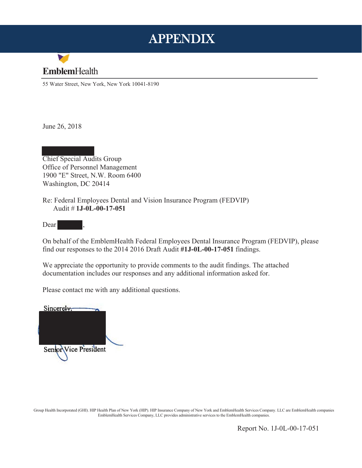### APPENDIX

<span id="page-18-0"></span>

55 Water Street, New York, New York 10041-8190

June 26, 2018

Chief Special Audits Group Office of Personnel Management 1900 "E" Street, N.W. Room 6400 Washington, DC 20414

Re: Federal Employees Dental and Vision Insurance Program (FEDVIP) Audit # **1J-0L-00-17-051** 

Dear ,

On behalf of the EmblemHealth Federal Employees Dental Insurance Program (FEDVIP), please find our responses to the 2014 2016 Draft Audit **#1J-0L-00-17-051** findings.

We appreciate the opportunity to provide comments to the audit findings. The attached documentation includes our responses and any additional information asked for.

Please contact me with any additional questions.



Group Health Incorporated (GHI). HIP Health Plan of New York (HIP). HIP Insurance Company of New York and EmblemHealth Services Company. LLC are EmblemHealth companies EmblemHealth Services Company, LLC provides administrative services to the EmblemHealth companies.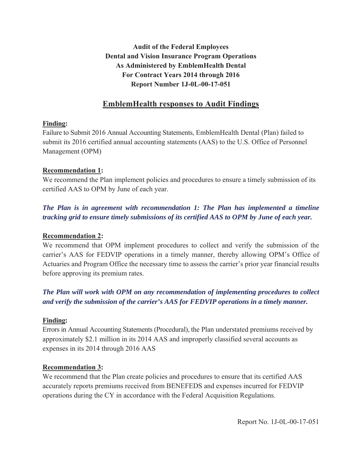**Audit of the Federal Employees Dental and Vision Insurance Program Operations As Administered by EmblemHealth Dental For Contract Years 2014 through 2016 Report Number 1J-0L-00-17-051** 

### **EmblemHealth responses to Audit Findings**

#### **Finding:**

Failure to Submit 2016 Annual Accounting Statements, EmblemHealth Dental (Plan) failed to submit its 2016 certified annual accounting statements (AAS) to the U.S. Office of Personnel Management (OPM)

#### **Recommendation 1:**

We recommend the Plan implement policies and procedures to ensure a timely submission of its certified AAS to OPM by June of each year.

### *The Plan is in agreement with recommendation 1: The Plan has implemented a timeline tracking grid to ensure timely submissions of its certified AAS to OPM by June of each year.*

#### **Recommendation 2:**

 Actuaries and Program Office the necessary time to assess the carrier's prior year financial results We recommend that OPM implement procedures to collect and verify the submission of the carrier's AAS for FEDVIP operations in a timely manner, thereby allowing OPM's Office of before approving its premium rates.

### *The Plan will work with OPM on any recommendation of implementing procedures to collect and verify the submission of the carrier's AAS for FEDVIP operations in a timely manner.*

#### **Finding:**

 Errors in Annual Accounting Statements (Procedural), the Plan understated premiums received by approximately \$2.1 million in its 2014 AAS and improperly classified several accounts as expenses in its 2014 through 2016 AAS

#### **Recommendation 3:**

We recommend that the Plan create policies and procedures to ensure that its certified AAS accurately reports premiums received from BENEFEDS and expenses incurred for FEDVIP operations during the CY in accordance with the Federal Acquisition Regulations.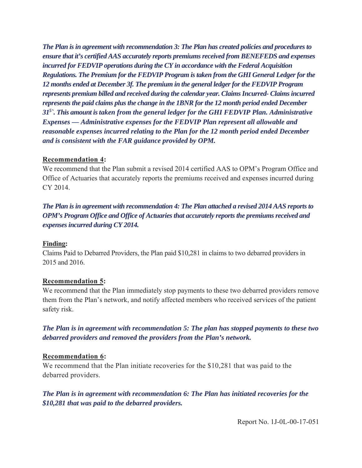*315 `. This amount is taken from the general ledger for the GHI FEDVIP Plan. Administrative The Plan is in agreement with recommendation 3: The Plan has created policies and procedures to ensure that it's certified AAS accurately reports premiums received from BENEFEDS and expenses incurred for FEDVIP operations during the CY in accordance with the Federal Acquisition Regulations. The Premium for the FEDVIP Program is taken from the GHI General Ledger for the 12 months ended at December 3f. The premium in the general ledger for the FEDVIP Program represents premium billed and received during the calendar year. Claims Incurred- Claims incurred represents the paid claims plus the change in the 1BNR for the 12 month period ended December Expenses — Administrative expenses for the FEDVIP Plan represent all allowable and reasonable expenses incurred relating to the Plan for the 12 month period ended December and is consistent with the FAR guidance provided by OPM.* 

#### **Recommendation 4:**

We recommend that the Plan submit a revised 2014 certified AAS to OPM's Program Office and Office of Actuaries that accurately reports the premiums received and expenses incurred during CY 2014.

*The Plan is in agreement with recommendation 4: The Plan attached a revised 2014 AAS reports to OPM's Program Office and Office of Actuaries that accurately reports the premiums received and expenses incurred during CY 2014.* 

#### **Finding:**

Claims Paid to Debarred Providers, the Plan paid \$10,281 in claims to two debarred providers in 2015 and 2016.

#### **Recommendation 5:**

We recommend that the Plan immediately stop payments to these two debarred providers remove them from the Plan's network, and notify affected members who received services of the patient safety risk.

*The Plan is in agreement with recommendation 5: The plan has stopped payments to these two debarred providers and removed the providers from the Plan's network.* 

#### **Recommendation 6:**

We recommend that the Plan initiate recoveries for the \$10,281 that was paid to the debarred providers.

*The Plan is in agreement with recommendation 6: The Plan has initiated recoveries for the \$10,281 that was paid to the debarred providers.*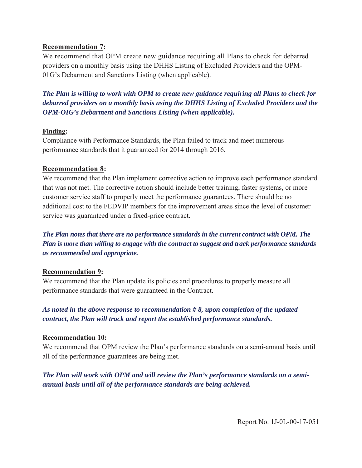#### **Recommendation 7:**

 We recommend that OPM create new guidance requiring all Plans to check for debarred providers on a monthly basis using the DHHS Listing of Excluded Providers and the OPM-01G's Debarment and Sanctions Listing (when applicable).

*The Plan is willing to work with OPM to create new guidance requiring all Plans to check for debarred providers on a monthly basis using the DHHS Listing of Excluded Providers and the OPM-OIG's Debarment and Sanctions Listing (when applicable).* 

#### **Finding:**

Compliance with Performance Standards, the Plan failed to track and meet numerous performance standards that it guaranteed for 2014 through 2016.

#### **Recommendation 8:**

We recommend that the Plan implement corrective action to improve each performance standard that was not met. The corrective action should include better training, faster systems, or more customer service staff to properly meet the performance guarantees. There should be no additional cost to the FEDVIP members for the improvement areas since the level of customer service was guaranteed under a fixed-price contract.

*The Plan notes that there are no performance standards in the current contract with OPM. The Plan is more than willing to engage with the contract to suggest and track performance standards as recommended and appropriate.* 

#### **Recommendation 9:**

We recommend that the Plan update its policies and procedures to properly measure all performance standards that were guaranteed in the Contract.

*As noted in the above response to recommendation # 8, upon completion of the updated contract, the Plan will track and report the established performance standards.* 

#### **Recommendation 10:**

We recommend that OPM review the Plan's performance standards on a semi-annual basis until all of the performance guarantees are being met.

*The Plan will work with OPM and will review the Plan's performance standards on a semiannual basis until all of the performance standards are being achieved.*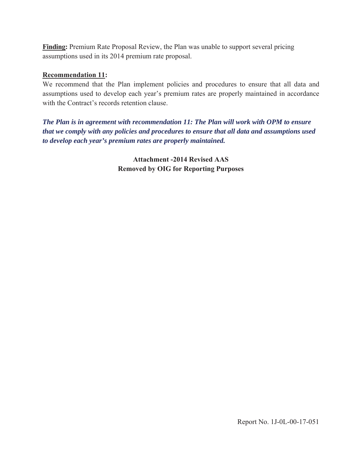**Finding:** Premium Rate Proposal Review, the Plan was unable to support several pricing assumptions used in its 2014 premium rate proposal.

#### **Recommendation 11:**

 assumptions used to develop each year's premium rates are properly maintained in accordance We recommend that the Plan implement policies and procedures to ensure that all data and with the Contract's records retention clause.

*The Plan is in agreement with recommendation 11: The Plan will work with OPM to ensure that we comply with any policies and procedures to ensure that all data and assumptions used to develop each year's premium rates are properly maintained.* 

> **Attachment -2014 Revised AAS Removed by OIG for Reporting Purposes**